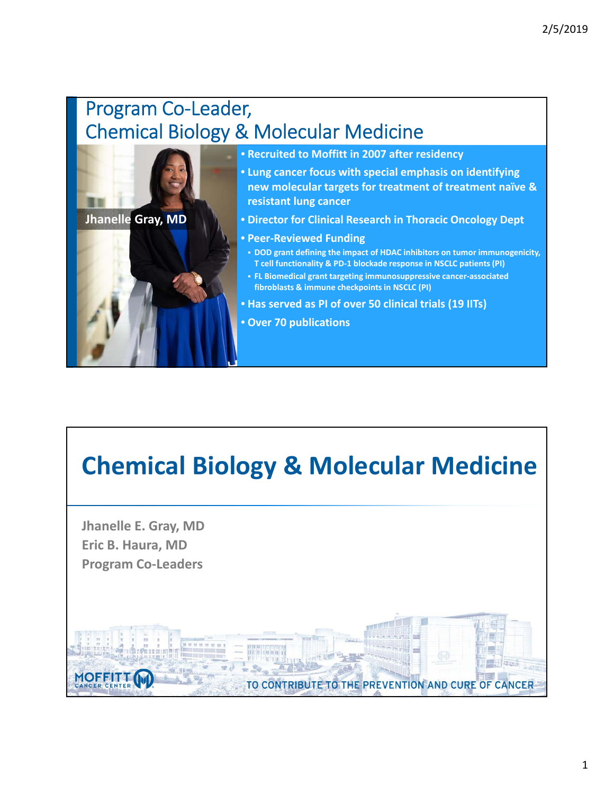### Program Co‐Leader, Chemical Biology & Molecular Medicine



# **Chemical Biology & Molecular Medicine**

**Jhanelle E. Gray, MD Eric B. Haura, MD Program Co‐Leaders**

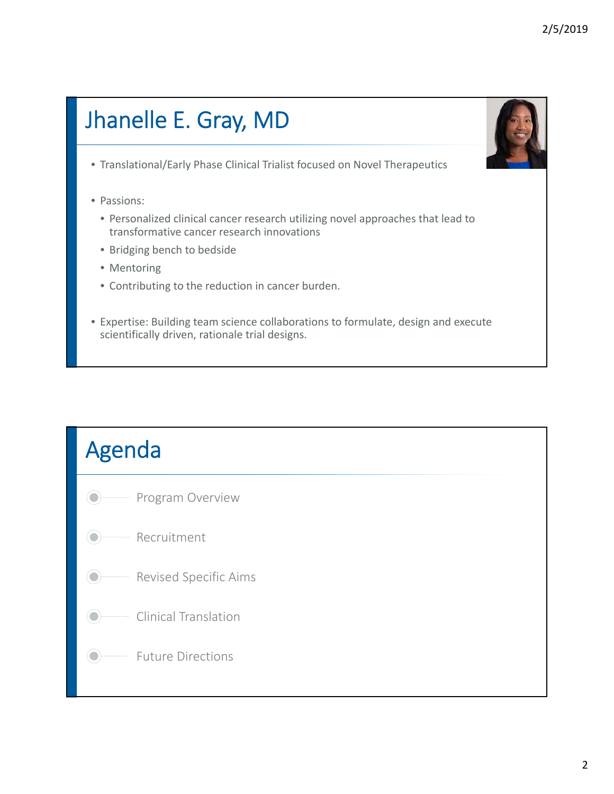# Jhanelle E. Gray, MD

- Translational/Early Phase Clinical Trialist focused on Novel Therapeutics
- Passions:
	- Personalized clinical cancer research utilizing novel approaches that lead to transformative cancer research innovations
	- Bridging bench to bedside
	- Mentoring
	- Contributing to the reduction in cancer burden.
- Expertise: Building team science collaborations to formulate, design and execute scientifically driven, rationale trial designs.

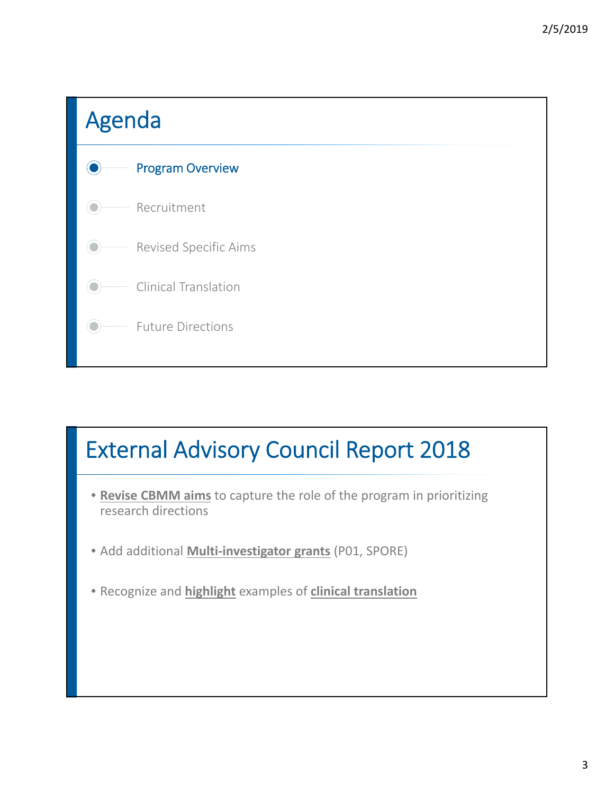

## External Advisory Council Report 2018

- **Revise CBMM aims** to capture the role of the program in prioritizing research directions
- Add additional **Multi‐investigator grants** (P01, SPORE)
- Recognize and **highlight** examples of **clinical translation**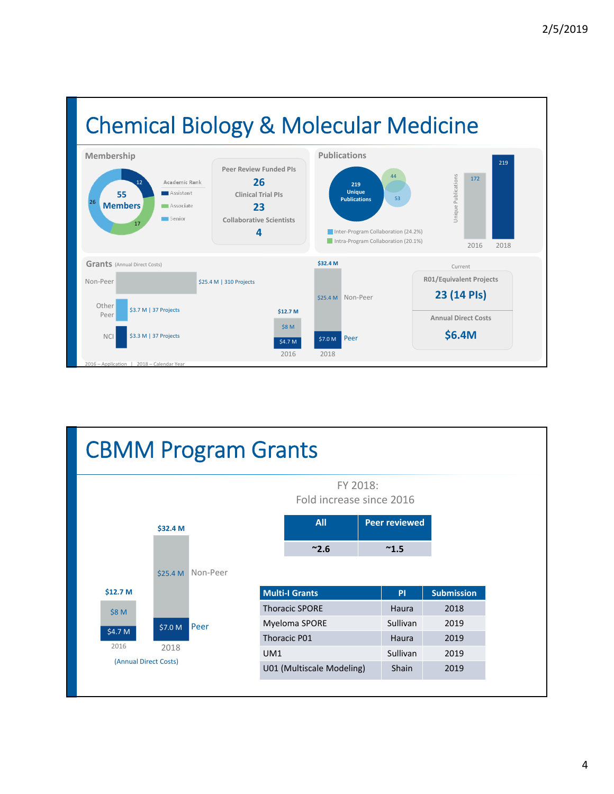

| <b>CBMM Program Grants</b> |          |     |                           |  |                      |                   |  |  |  |
|----------------------------|----------|-----|---------------------------|--|----------------------|-------------------|--|--|--|
|                            |          |     |                           |  |                      |                   |  |  |  |
| \$32.4 M                   |          |     | <b>All</b>                |  | <b>Peer reviewed</b> |                   |  |  |  |
|                            |          |     | ~2.6                      |  | $~^{\thicksim}1.5$   |                   |  |  |  |
| \$25.4 M                   | Non-Peer |     |                           |  |                      |                   |  |  |  |
| \$12.7 M                   |          |     | <b>Multi-I Grants</b>     |  | PI                   | <b>Submission</b> |  |  |  |
| \$8 M                      |          |     | <b>Thoracic SPORE</b>     |  | Haura                | 2018              |  |  |  |
| \$7.0 M                    | Peer     |     | Myeloma SPORE             |  | Sullivan             | 2019              |  |  |  |
| \$4.7 M                    |          |     | Thoracic P01              |  | Haura                | 2019              |  |  |  |
| 2016<br>2018               |          | UM1 |                           |  | Sullivan             | 2019              |  |  |  |
| (Annual Direct Costs)      |          |     | U01 (Multiscale Modeling) |  | <b>Shain</b>         | 2019              |  |  |  |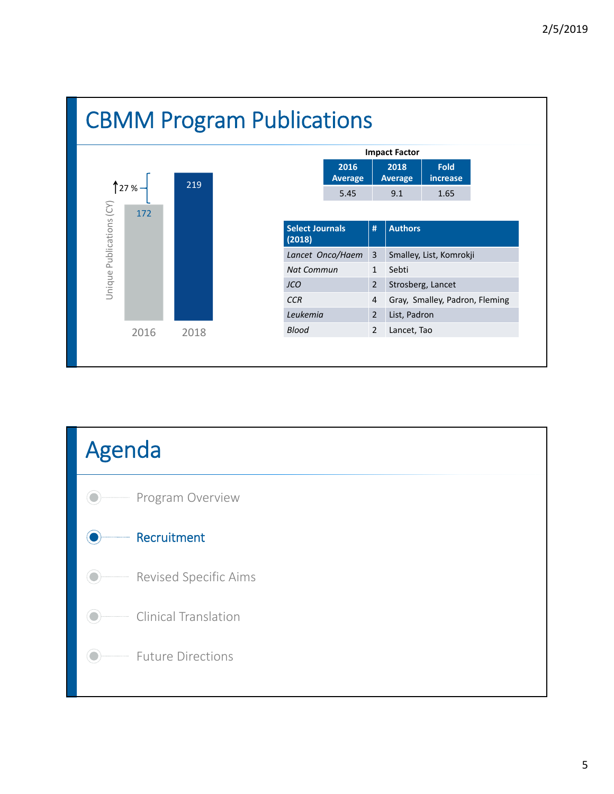

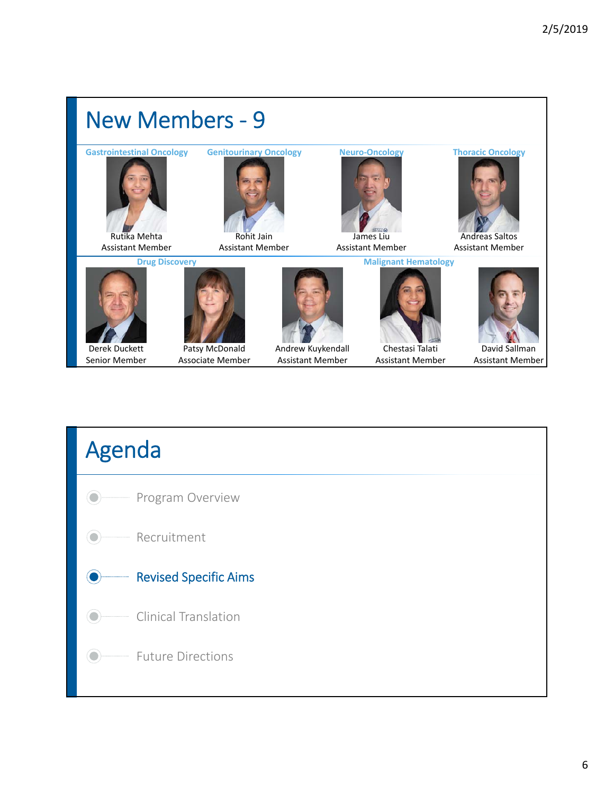

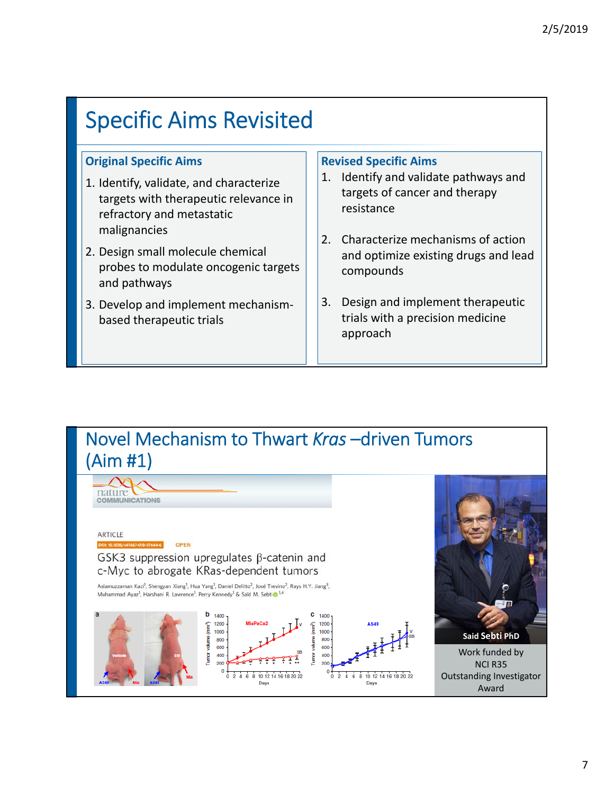### Specific Aims Revisited

#### **Original Specific Aims**

- 1. Identify, validate, and characterize targets with therapeutic relevance in refractory and metastatic malignancies
- 2. Design small molecule chemical probes to modulate oncogenic targets and pathways
- 3. Develop and implement mechanism‐ based therapeutic trials

#### **Revised Specific Aims**

- 1. Identify and validate pathways and targets of cancer and therapy resistance
- 2. Characterize mechanisms of action and optimize existing drugs and lead compounds
- 3. Design and implement therapeutic trials with a precision medicine approach

#### Novel Mechanism to Thwart *Kras* –driven Tumors (Aim #1)

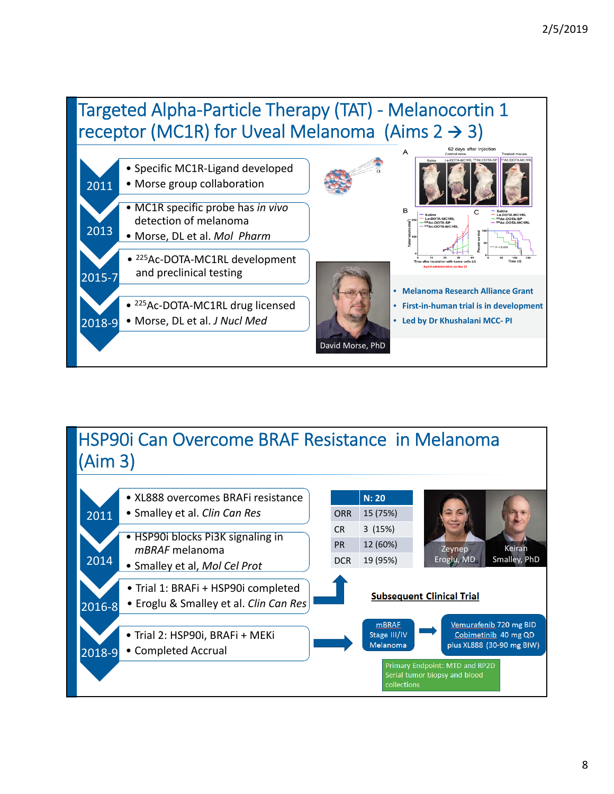### Targeted Alpha‐Particle Therapy (TAT) ‐ Melanocortin 1 receptor (MC1R) for Uveal Melanoma (Aims  $2 \rightarrow 3$ )



#### HSP90i Can Overcome BRAF Resistance in Melanoma (Aim 3)

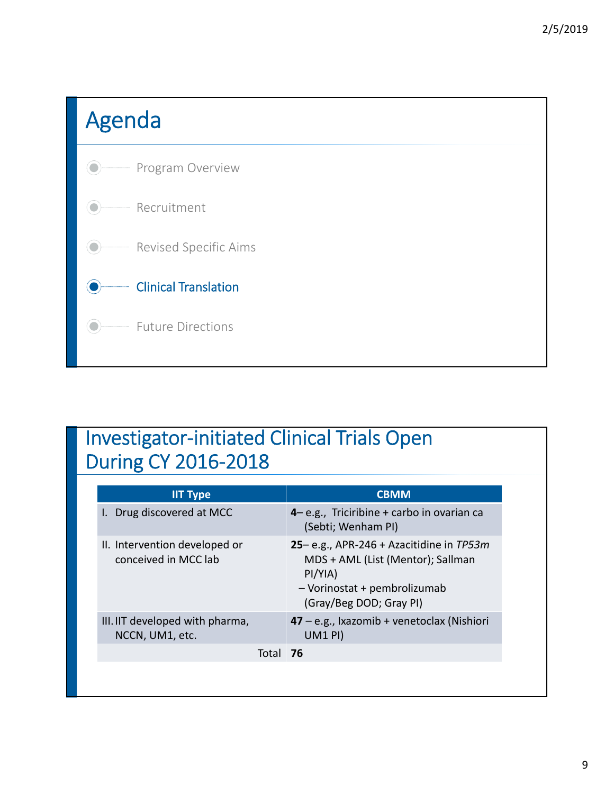

### Investigator‐initiated Clinical Trials Open During CY 2016‐2018

| <b>IIT Type</b>                                       |          | <b>CBMM</b>                                                                                                                                              |  |  |
|-------------------------------------------------------|----------|----------------------------------------------------------------------------------------------------------------------------------------------------------|--|--|
| Drug discovered at MCC                                |          | 4 - e.g., Triciribine + carbo in ovarian ca<br>(Sebti; Wenham PI)                                                                                        |  |  |
| II. Intervention developed or<br>conceived in MCC lab |          | 25– e.g., APR-246 + Azacitidine in $TP53m$<br>MDS + AML (List (Mentor); Sallman<br>$PI/YIA$ )<br>- Vorinostat + pembrolizumab<br>(Gray/Beg DOD; Gray PI) |  |  |
| III. IIT developed with pharma,<br>NCCN, UM1, etc.    |          | $47 - e.g.,$ Ixazomib + venetoclax (Nishiori<br><b>UM1 PI)</b>                                                                                           |  |  |
|                                                       | Total 76 |                                                                                                                                                          |  |  |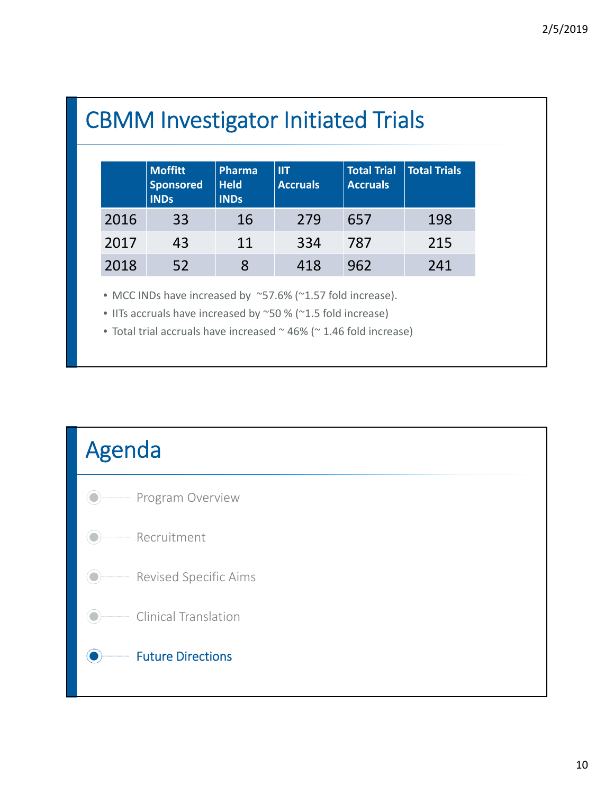## CBMM Investigator Initiated Trials

|      | <b>Moffitt</b><br><b>Sponsored</b><br><b>INDs</b> | Pharma<br><b>Held</b><br><b>INDs</b> | <b>IIT</b><br><b>Accruals</b> | <b>Total Trial</b><br><b>Accruals</b> | <b>Total Trials</b> |
|------|---------------------------------------------------|--------------------------------------|-------------------------------|---------------------------------------|---------------------|
| 2016 | 33                                                | 16                                   | 279                           | 657                                   | 198                 |
| 2017 | 43                                                | 11                                   | 334                           | 787                                   | 215                 |
| 2018 | 52                                                | 8                                    | 418                           | 962                                   | 241                 |

• MCC INDs have increased by ~57.6% (~1.57 fold increase).

• IITs accruals have increased by ~50 % (~1.5 fold increase)

• Total trial accruals have increased ~ 46% (~ 1.46 fold increase)